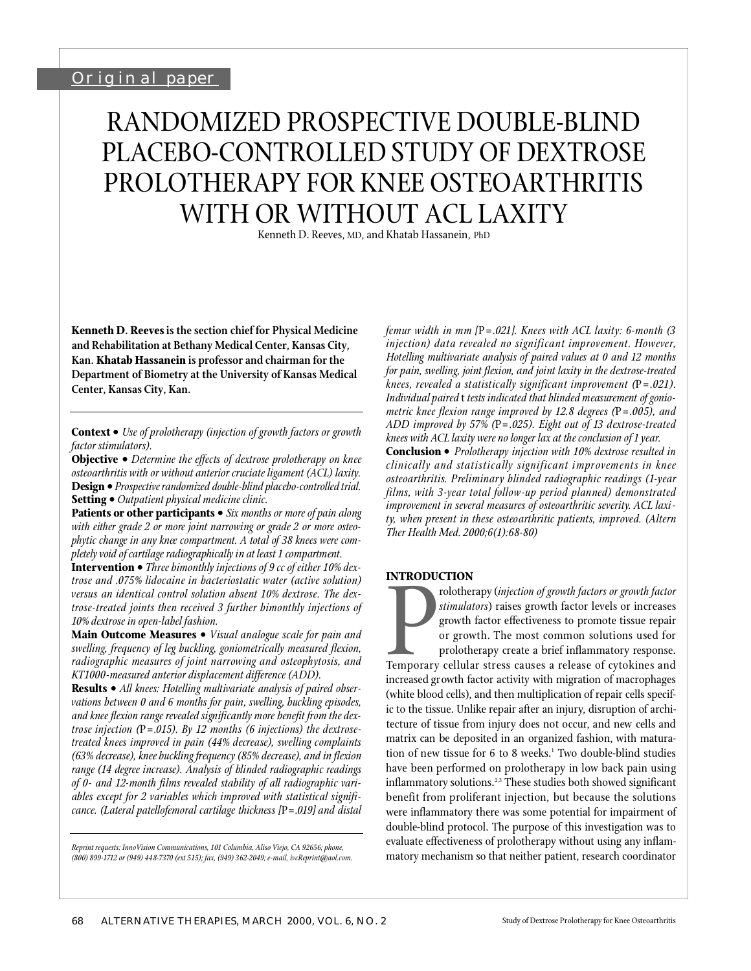# RANDOMIZED PROSPECTIVE DOUBLE-BLIND PLACEBO-CONTROLLED STUDY OF DEXTROSE PROLOTHERAPY FOR KNEE OSTEOARTHRITIS WITH OR WITHOUT ACL LAXITY

Kenneth D. Reeves, MD, and Khatab Hassanein, PhD

**Kenneth D. Reevesis the section chief for Physical Medicine and Rehabilitation at Bethany Medical Center, Kansas City, Kan. Khatab Hassanein is professor and chairman for the Department of Biometry at the University of Kansas Medical Center, Kansas City, Kan.** 

**Context •** *Use of prolotherapy (injection of growth factors or growth factor stimulators).*

**Objective •** Determine the effects of dextrose prolotherapy on knee *osteoarthritis with or without anterior cruciate ligament (ACL) laxity.*  **Design •** *Prospective randomized double-blind placebo-controlled trial.* **Setting •** *Outpatient physical medicine clinic.* 

**Patients or other participants •** *Six months or more of pain along with either grade 2 or more joint narrowing or grade 2 or more osteophytic change in any knee compartment. A total of 38 knees were completely void of cartilage radiographically in at least 1 compartment.* 

**Intervention •** *Three bimonthly injections of 9 cc of either 10% dext rose and .075% lidocaine in bacteriostatic water (active solution) versus an identical control solution absent 10% dextrose. The dextrose-treated joints then received 3 further bimonthly injections of 10% dextrose in open-label fashion.*

**Main Outcome Measures •** *Visual analogue scale for pain and swelling, frequency of leg buckling, goniometrically measured flexion,* radiographic measures of joint narrowing and osteophytosis, and *KT1000-measured anterior displacement difference (ADD).*

**Results •** *All knees: Hotelling multivariate analysis of paired observations between 0 and 6 months for pain, swelling, buckling episodes,* and knee flexion range revealed significantly more benefit from the dex*trose injection (P = .015). By 12 months (6 injections) the dextroset reated knees impro ved in pain (44% decrease), swelling complaints (63% decrease), knee buckling frequency (85% decrease), and in flexion range (14 degree increase). Analysis of blinded radiographic readings* of 0- and 12-month films revealed stability of all radiographic variables except for 2 variables which improved with statistical signifi*cance. (Lateral patellofemoral cartilage thickness [*P*=.019] and distal*

*Reprint requests: InnoVision Communications, 101 Columbia, Aliso Viejo, CA 92656; phone, (800) 899-1712 or (949) 448-7370 (ext 515); fax, (949) 362-2049; e-mail, ivcReprint@aol.com.* *femur width in mm [*P*= .0 21]. Knees with ACL laxity: 6-month (3* injection) data revealed no significant improvement. However, *Hotelling multivariate analysis of paired values at 0 and 12 months for pain, swelling, joint flexion, and joint laxity in the dextrose-treated knees, revealed a statistically significant improvement (P = .021). Individual paired* t *tests indicated that blinded measurement of goniometric knee flexion range improved by 12.8 degrees (P = .005), and ADD improved by 57% (P=.025). Eight out of 13 dextrose-treated knees with ACL laxity were no longer lax at the conclusion of 1 year.*  **Conclusion •** *Prolotherapy injection with 10% dextrose resulted in clinically and statistically significant impro vements in knee* osteoarthritis. Preliminary blinded radiographic readings (1-year

films, with 3-year total follow-up period planned) demonstrated *improvement in several measures of osteoarthritic severity. ACL laxity, when present in these osteoarthritic patients, improved. (Altern Ther Health Med. 2000;6(1):68-80)*

#### **INTRODUCTION**

Temporary<br>Temporary<br>increased on rolotherapy (*injection of growth factors or growth factor stimulators*) raises growth factor levels or increases growth factor effectiveness to promote tissue repair or growth. The most common solutions used for prolotherapy create a brief inflammatory response. Temporary cellular stress causes a release of cytokines and increased growth factor activity with migration of macrophages (white blood cells), and then multiplication of repair cells specific to the tissue. Unlike repair after an injury, disruption of architecture of tissue from injury does not occur, and new cells and matrix can be deposited in an organized fashion, with maturation of new tissue for 6 to 8 weeks.<sup>1</sup> Two double-blind studies have been performed on prolotherapy in low back pain using inflammatory solutions.<sup>2,3</sup> These studies both showed significant benefit from proliferant injection, but because the solutions were inflammatory there was some potential for impairment of double-blind protocol. The purpose of this investigation was to evaluate effectiveness of prolotherapy without using any inflammatory mechanism so that neither patient, research coordinator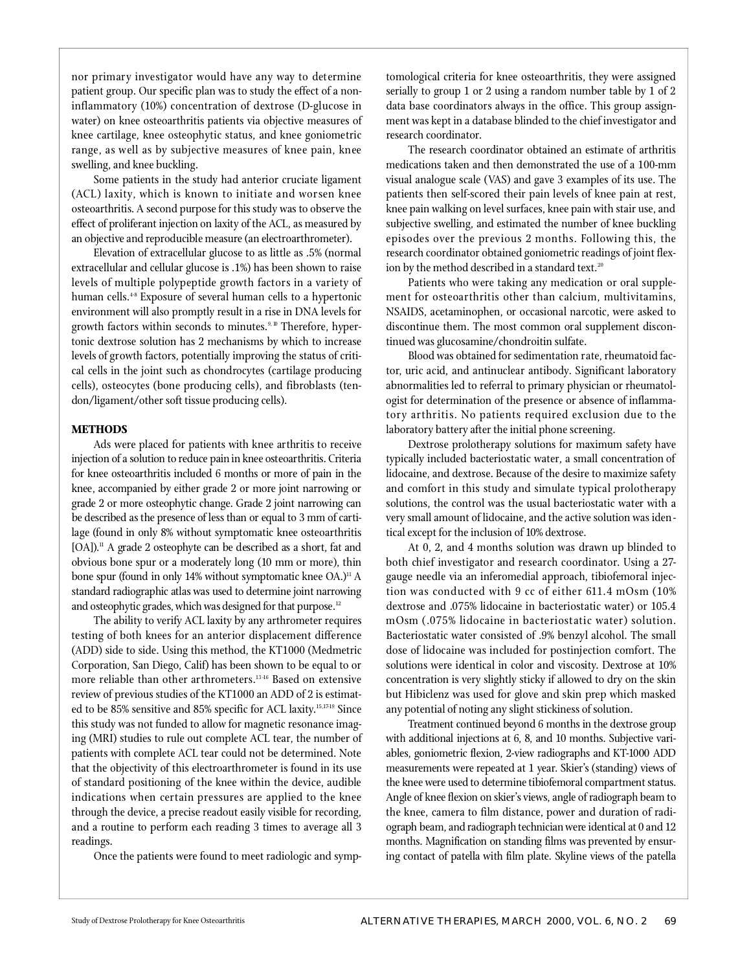nor primary investigator would have any way to determine patient group. Our specific plan was to study the effect of a noninflammatory (10%) concentration of dextrose (D-glucose in water) on knee osteoarthritis patients via objective measures of knee cartilage, knee osteophytic status, and knee goniometric range, as well as by subjective measures of knee pain, knee swelling, and knee buckling.

Some patients in the study had anterior cruciate ligament ( ACL) laxity, which is known to initiate and worsen knee osteoarthritis. A second purpose for this study was to observe the effect of proliferant injection on laxity of the ACL, as measured by an objective and reproducible measure (an electroarthrometer).

Elevation of extracellular glucose to as little as .5% (normal extracellular and cellular glucose is .1%) has been shown to raise levels of multiple polypeptide growth factors in a variety of human cells.<sup>48</sup> Exposure of several human cells to a hypertonic environment will also promptly result in a rise in DNA levels for growth factors within seconds to minutes.<sup>9, 10</sup> Therefore, hypertonic dextrose solution has 2 mechanisms by which to increase levels of growth factors, potentially improving the status of critical cells in the joint such as chondrocytes (cartilage producing cells), osteocytes (bone producing cells), and fibroblasts (tendon/ligament/other soft tissue producing cells).

## **METHODS**

Ads were placed for patients with knee arthritis to receive injection of a solution to reduce pain in knee osteoarthritis. Criteria for knee osteoarthritis included 6 months or more of pain in the knee, accompanied by either grade 2 or more joint narrowing or grade 2 or more osteophytic change. Grade 2 joint narrowing can be described as the presence of less than or equal to 3 mm of cartilage (found in only 8% without symptomatic knee osteoarthritis [OA]).<sup>11</sup> A grade 2 osteophyte can be described as a short, fat and obvious bone spur or a moderately long (10 mm or more), thin bone spur (found in only  $14\%$  without symptomatic knee OA.)<sup>11</sup> A standard radiographic atlas was used to determine joint narrowing and osteophytic grades, which was designed for that purpose.<sup>12</sup>

The ability to verify ACL laxity by any arthrometer requires testing of both knees for an anterior displacement difference (ADD) side to side. Using this method, the KT1000 (Medmetric Corporation, San Diego, Calif) has been shown to be equal to or more reliable than other arthrometers.<sup>1346</sup> Based on extensive review of previous studies of the KT1000 an ADD of 2 is estimated to be 85% sensitive and 85% specific for ACL laxity. 15,17-19 Since this study was not funded to allow for magnetic resonance imaging (MRI) studies to rule out complete ACL tear, the number of patients with complete ACL tear could not be determined. Note that the objectivity of this electroarthrometer is found in its use of standard positioning of the knee within the device, audible indications when certain pressures are applied to the knee through the device, a precise readout easily visible for recording, and a routine to perform each reading 3 times to average all 3 readings.

Once the patients were found to meet radiologic and symp-

tomological criteria for knee osteoarthritis, they were assigned serially to group 1 or 2 using a random number table by 1 of 2 data base coordinators always in the office. This group assignment was kept in a database blinded to the chief investigator and research coordinator.

The research coordinator obtained an estimate of arthritis medications taken and then demonstrated the use of a 100-mm visual analogue scale (VAS) and gave 3 examples of its use. The patients then self-scored their pain levels of knee pain at rest, knee pain walking on level surfaces, knee pain with stair use, and subjective swelling, and estimated the number of knee buckling episodes over the previous 2 months. Following this, the research coordinator obtained goniometric readings of joint flexion by the method described in a standard text.<sup>20</sup>

Patients who were taking any medication or oral supplement for osteoarthritis other than calcium, multivitamins, NSAIDS, acetaminophen, or occasional narcotic, were asked to discontinue them. The most common oral supplement discontinued was glucosamine/chondroitin sulfate.

Blood was obtained for sedimentation rate, rheumatoid factor, uric acid, and antinuclear antibody. Significant laboratory abnormalities led to referral to primary physician or rheumatologist for determination of the presence or absence of inflammatory arthritis. No patients required exclusion due to the laboratory battery after the initial phone screening.

Dextrose prolotherapy solutions for maximum safety have typically included bacteriostatic water, a small concentration of lidocaine, and dextrose. Because of the desire to maximize safety and comfort in this study and simulate typical prolotherapy solutions, the control was the usual bacteriostatic water with a very small amount of lidocaine, and the active solution was identical except for the inclusion of 10% dextrose.

At 0, 2, and 4 months solution was drawn up blinded to both chief investigator and research coordinator. Using a 27gauge needle via an inferomedial approach, tibiofemoral injection was conducted with 9 cc of either 611.4 mOsm (10%) dextrose and .075% lidocaine in bacteriostatic water) or 105.4 mOsm (.075% lidocaine in bacteriostatic water) solution. Bacteriostatic water consisted of .9% benzyl alcohol. The small dose of lidocaine was included for postinjection comfort. The solutions were identical in color and viscosity. Dextrose at 10% concentration is very slightly sticky if allowed to dry on the skin but Hibiclenz was used for glove and skin prep which masked any potential of noting any slight stickiness of solution.

Treatment continued beyond 6 months in the dextrose group with additional injections at  $6, 8$ , and  $10$  months. Subjective variables, goniometric flexion, 2-view radiographs and KT-1000 ADD measurements were repeated at 1 year. Skier's (standing) views of the knee were used to determine tibiofemoral compartment status. Angle of knee flexion on skier's views, angle of radiograph beam to the knee, camera to film distance, power and duration of radiograph beam, and radiograph technician were identical at 0 and 12 months. Magnification on standing films was prevented by ensuring contact of patella with film plate. Skyline views of the patella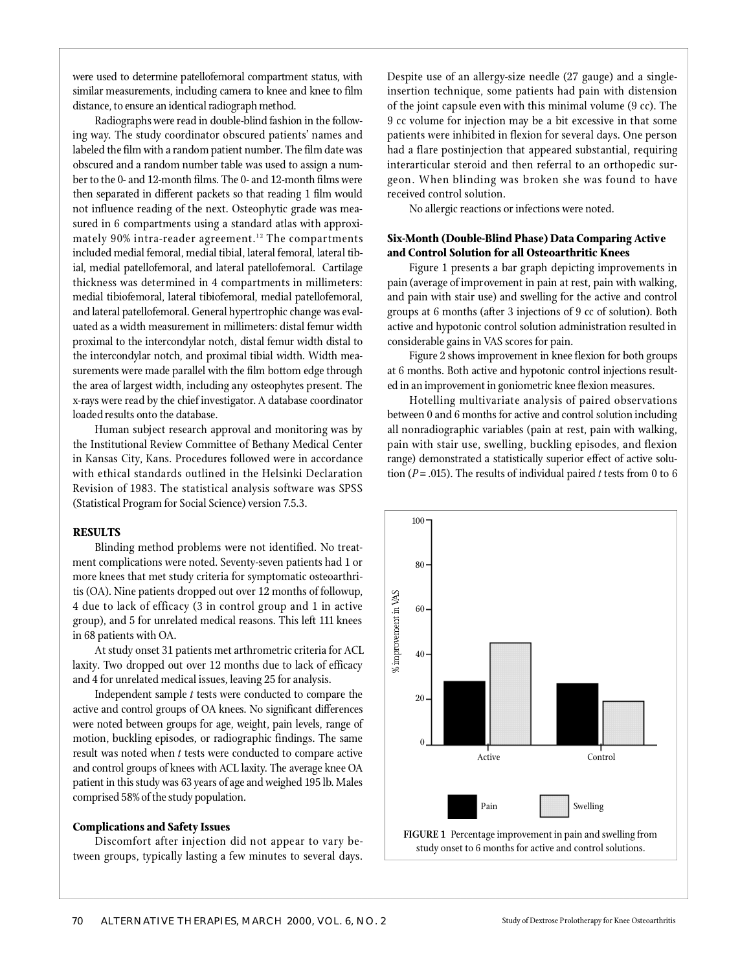were used to determine patellofemoral compartment status, with similar measurements, including camera to knee and knee to film distance, to ensure an identical radiograph method.

Radiographs were read in double-blind fashion in the following way. The study coordinator obscured patients' names and labeled the film with a random patient number. The film date was obscured and a random number table was used to assign a number to the 0- and 12-month films. The 0- and 12-month films were then separated in different packets so that reading 1 film would not influence reading of the next. Osteophytic grade was measured in 6 compartments using a standard atlas with approximately 90% intra-reader agreement.<sup>12</sup> The compartments included medial femoral, medial tibial, lateral femoral, lateral tibial, medial patellofemoral, and lateral patellofemoral. Cartilage thickness was determined in 4 compartments in millimeters: medial tibiofemoral, lateral tibiofemoral, medial patellofemoral, and lateral patellofemoral. General hypertrophic change was evaluated as a width measurement in millimeters: distal femur width proximal to the intercondylar notch, distal femur width distal to the intercondylar notch, and proximal tibial width. Width measurements were made parallel with the film bottom edge through the area of largest width, including any osteophytes present. The x-rays were read by the chief investigator. A database coordinator loaded results onto the database.

Human subject research approval and monitoring was by the Institutional Review Committee of Bethany Medical Center in Kansas City, Kans. Procedures followed were in accordance with ethical standards outlined in the Helsinki Declaration Revision of 1983. The statistical analysis software was SPSS (Statistical Program for Social Science) version 7.5.3.

### **RESULTS**

Blinding method problems were not identified. No treatment complications were noted. Seventy-seven patients had 1 or more knees that met study criteria for symptomatic osteoarthritis (OA). Nine patients dropped out over 12 months of followup, 4 due to lack of efficacy (3 in control group and 1 in active group), and 5 for unrelated medical reasons. This left 111 knees in 68 patients with OA.

At study onset 31 patients met arthrometric criteria for ACL laxity. Two dropped out over 12 months due to lack of efficacy and 4 for unrelated medical issues, leaving 25 for analysis.

Independent sample *t* tests were conducted to compare the active and control groups of OA knees. No significant differences were noted between groups for age, weight, pain levels, range of motion, buckling episodes, or radiographic findings. The same result was noted when *t* tests were conducted to compare active and control groups of knees with ACL laxity. The average knee OA patient in this study was 63 years of age and weighed 195 lb. Males comprised 58% of the study population.

#### **Complications and Safety Issues**

Discomfort after injection did not appear to vary between groups, typically lasting a few minutes to several days. Despite use of an allergy-size needle (27 gauge) and a singleinsertion technique, some patients had pain with distension of the joint capsule even with this minimal volume (9 cc). The 9 cc volume for injection may be a bit excessive in that some p atients were inhibited in flexion for several days. One person had a flare postinjection that appeared substantial, requiring interarticular steroid and then referral to an orthopedic surgeon. When blinding was broken she was found to have received control solution.

No allergic reactions or infections were noted.

## **Six-Month (Double-Blind Phase) Data Comparing Active and Control Solution for all Osteoarthritic Knees**

Figure 1 presents a bar graph depicting improvements in pain (average of improvement in pain at rest, pain with walking, and pain with stair use) and swelling for the active and control groups at 6 months (after 3 injections of 9 cc of solution). Both active and hypotonic control solution administration resulted in considerable gains in VAS scores for pain.

Figure 2 shows improvement in knee flexion for both groups at 6 months. Both active and hypotonic control injections resulted in an improvement in goniometric knee flexion measures.

Hotelling multivariate analysis of paired observations between 0 and 6 months for active and control solution including all nonradiographic variables (pain at rest, pain with walking, pain with stair use, swelling, buckling episodes, and flexion range) demonstrated a statistically superior effect of active solution ( $P = .015$ ). The results of individual paired *t* tests from 0 to 6

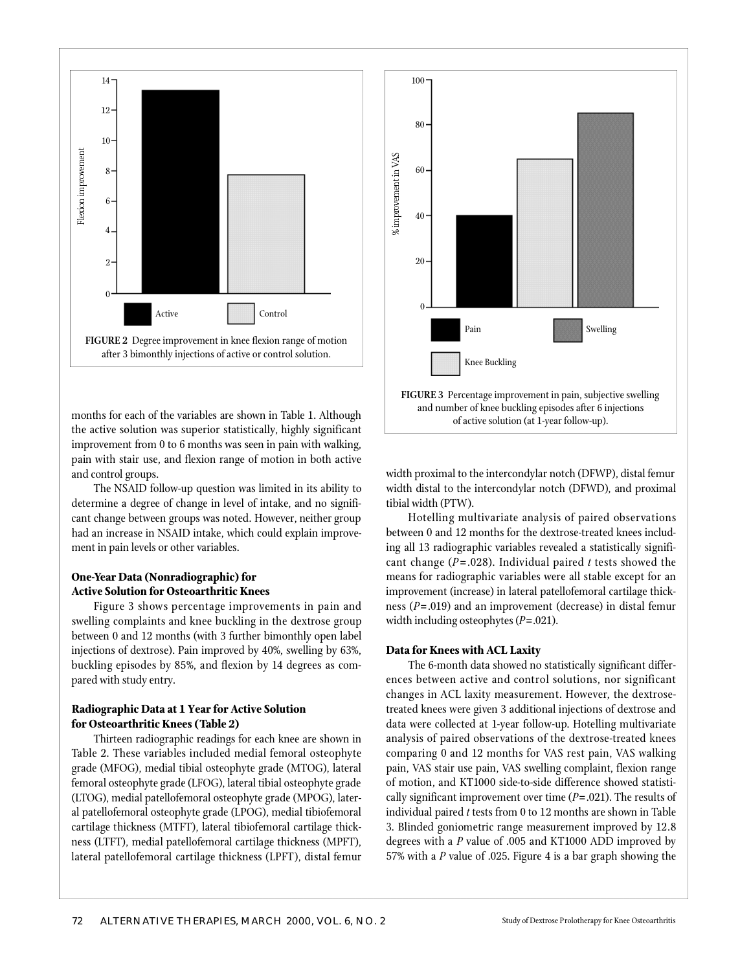

months for each of the variables are shown in Table 1. Although the active solution was superior statistically, highly significant im provement from 0 to 6 months was seen in pain with walking, pain with stair use, and flexion range of motion in both active and control groups.

The NSAID follow-up question was limited in its ability to determine a degree of change in level of intake, and no significant change between groups was noted. However, neither group had an increase in NSAID intake, which could explain improvement in pain levels or other variables.

## **One-Year Data (Nonradiographic) for Active Solution for Osteoarthritic Knees**

Figure 3 shows percentage improvements in pain and swelling complaints and knee buckling in the dextrose group between 0 and 12 months (with 3 further bimonthly open label injections of dextrose). Pain improved by 40%, swelling by 63%, buckling episodes by 85%, and flexion by 14 degrees as compared with study entry.

## **Radiographic Data at 1 Year for Active Solution for Osteoarthritic Knees (Table 2)**

Thirteen radiographic readings for each knee are shown in Table 2. These variables included medial femoral osteophyte grade (MFOG), medial tibial osteophyte grade (MTOG), lateral femoral osteophyte grade (LFOG), lateral tibial osteophyte grade (LTOG), medial patellofemoral osteophyte grade (MPOG), lateral patellofemoral osteophyte grade (LPOG), medial tibiofemoral cartilage thickness (MTFT), lateral tibiofemoral cartilage thickness (LTFT), medial patellofemoral cartilage thickness (MPFT), lateral patellofemoral cartilage thickness (LPFT), distal femur



width proximal to the intercondylar notch (DFWP), distal femur width distal to the intercondylar notch (DFWD), and proximal tibial width (PTW).

Hotelling multivariate analysis of paired observations between 0 and 12 months for the dextrose-treated knees including all 13 radiographic variables revealed a statistically significant change (*P*= .028). Individual paired *t* tests showed the means for radiographic variables were all stable except for an improvement (increase) in lateral patellofemoral cartilage thickness (*P*= .019) and an improvement (decrease) in distal femur width including osteophytes (*P*=.021).

#### **Data for Knees with ACL Laxity**

The 6-month data showed no statistically significant differences between active and control solutions, nor significant changes in ACL laxity measurement. However, the dextrosetreated knees were given 3 additional injections of dextrose and data were collected at 1-year follow-up. Hotelling multivariate analysis of paired observations of the dextrose-treated knees comparing 0 and 12 months for VAS rest pain, VAS walking pain, VAS stair use pain, VAS swelling complaint, flexion range of motion, and KT1000 side-to-side difference showed statistically significant improvement over time  $(P=.021)$ . The results of individual paired *t* tests from 0 to 12 months are shown in Table 3. Blinded goniometric range measurement improved by 12.8 degrees with a *P* value of .005 and KT1000 ADD improved by 57% with a *P* value of .025. Figure 4 is a bar graph showing the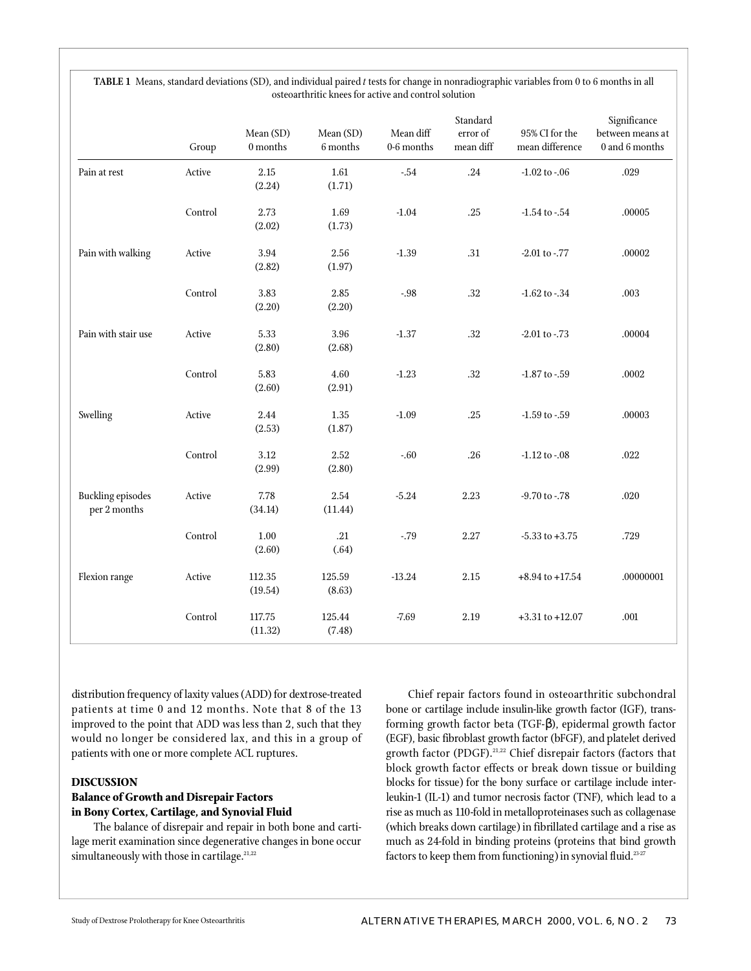|                                          | Group   | Mean (SD)<br>$0$ months $\,$ | Mean (SD)<br>6 months | Mean diff<br>$0-6$ months | Standard<br>error of<br>mean diff | 95% CI for the<br>mean difference | Significance<br>between means at<br>0 and 6 months |
|------------------------------------------|---------|------------------------------|-----------------------|---------------------------|-----------------------------------|-----------------------------------|----------------------------------------------------|
| Pain at rest                             | Active  | 2.15<br>(2.24)               | 1.61<br>(1.71)        | $-.54$                    | .24                               | $-1.02$ to $-0.06$                | .029                                               |
|                                          | Control | 2.73<br>(2.02)               | 1.69<br>(1.73)        | $-1.04$                   | .25                               | $-1.54$ to $-54$                  | .00005                                             |
| Pain with walking                        | Active  | 3.94<br>(2.82)               | 2.56<br>(1.97)        | $-1.39$                   | .31                               | -2.01 to -.77                     | .00002                                             |
|                                          | Control | 3.83<br>(2.20)               | $2.85\,$<br>(2.20)    | $-.98$                    | .32                               | $-1.62$ to $-34$                  | .003                                               |
| Pain with stair use                      | Active  | 5.33<br>(2.80)               | 3.96<br>(2.68)        | $-1.37$                   | .32                               | $-2.01$ to $-.73$                 | .00004                                             |
|                                          | Control | 5.83<br>(2.60)               | 4.60<br>(2.91)        | $-1.23$                   | .32                               | $-1.87$ to $-.59$                 | .0002                                              |
| Swelling                                 | Active  | $2.44\,$<br>(2.53)           | 1.35<br>(1.87)        | $-1.09$                   | .25                               | $-1.59$ to $-.59$                 | .00003                                             |
|                                          | Control | 3.12<br>(2.99)               | 2.52<br>(2.80)        | $-.60$                    | .26                               | $-1.12$ to $-0.08$                | .022                                               |
| <b>Buckling episodes</b><br>per 2 months | Active  | 7.78<br>(34.14)              | 2.54<br>(11.44)       | $-5.24$                   | 2.23                              | -9.70 to -.78                     | $.020$                                             |
|                                          | Control | 1.00<br>(2.60)               | .21<br>(.64)          | $-79$                     | 2.27                              | $-5.33$ to $+3.75$                | .729                                               |
| Flexion range                            | Active  | 112.35<br>(19.54)            | 125.59<br>(8.63)      | $-13.24$                  | $2.15\,$                          | $+8.94$ to $+17.54$               | .00000001                                          |
|                                          | Control | 117.75<br>(11.32)            | 125.44<br>(7.48)      | $-7.69$                   | 2.19                              | $+3.31$ to $+12.07$               | $.001\,$                                           |

**TABLE 1** Means, standard deviations (SD), and individual paired *t* tests for change in nonradiographic variables from 0 to 6 months in all osteoarthritic knees for active and control solution

distribution frequency of laxity values (ADD) for dextrose-treated patients at time 0 and 12 months. Note that 8 of the 13 improved to the point that ADD was less than 2, such that they would no longer be considered lax, and this in a group of patients with one or more complete ACL ruptures.

## **DISCUSSION**

## **Balance of Growth and Disrepair Factors in Bony Cortex, Cartilage, and Synovial Fluid**

The balance of disrepair and repair in both bone and cartilage merit examination since degenerative changes in bone occur simultaneously with those in cartilage.<sup>21,22</sup>

Chief repair factors found in osteoarthritic subchondral bone or cartilage include insulin-like growth factor (IGF), transforming growth factor beta (TGF-), epidermal growth factor (EGF), basic fibroblast growth factor (bFGF), and platelet derived growth factor (PDGF).<sup>21,22</sup> Chief disrepair factors (factors that block growth factor effects or break down tissue or building blocks for tissue) for the bony surface or cartilage include interleukin-1 (IL-1) and tumor necrosis factor (TNF), which lead to a rise as much as 110-fold in metalloproteinases such as collagenase (which breaks down cartilage) in fibrillated cartilage and a rise as much as 24-fold in binding proteins (proteins that bind growth factors to keep them from functioning) in synovial fluid.<sup>23-27</sup>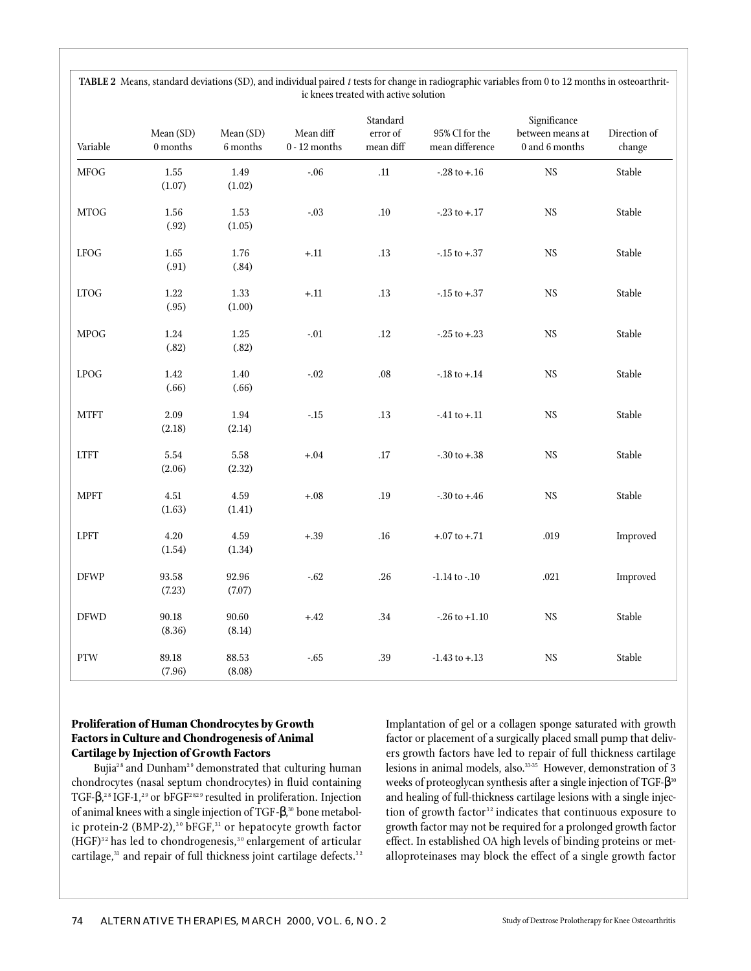| Variable              | Mean (SD)<br>$0$ months $\,$ | Mean (SD)<br>$6$ months $\,$ | Mean diff<br>$0$ - $12$ months | Standard<br>error of<br>mean diff | 95% CI for the<br>mean difference | Significance<br>between means at<br>$0$ and $6$ months | Direction of<br>change |
|-----------------------|------------------------------|------------------------------|--------------------------------|-----------------------------------|-----------------------------------|--------------------------------------------------------|------------------------|
| <b>MFOG</b>           | $1.55\,$<br>(1.07)           | 1.49<br>(1.02)               | $-.06$                         | $.11\,$                           | $-.28$ to $+.16$                  | $_{\rm NS}$                                            | Stable                 |
| $\rm MTOG$            | 1.56<br>(.92)                | 1.53<br>(1.05)               | $-.03$                         | $.10\,$                           | $-23$ to $+17$                    | $_{\rm NS}$                                            | Stable                 |
| ${\rm LFOG}$          | $1.65\,$<br>(.91)            | $1.76\,$<br>(.84)            | $+\!.11$                       | $.13\,$                           | $-.15$ to $+.37$                  | $_{\rm NS}$                                            | Stable                 |
| ${\rm LTOG}$          | $1.22\,$<br>(.95)            | 1.33<br>(1.00)               | $+.11$                         | $.13\,$                           | $-.15$ to $+.37$                  | $_{\rm NS}$                                            | Stable                 |
| <b>MPOG</b>           | $1.24\,$<br>(.82)            | $1.25\,$<br>(.82)            | $-.01$                         | $.12\,$                           | $-25$ to $+23$                    | $_{\rm NS}$                                            | Stable                 |
| ${\rm LPOG}$          | $1.42\,$<br>(.66)            | $1.40\,$<br>(.66)            | $-.02$                         | $.08\,$                           | $-.18$ to $+.14$                  | $_{\rm NS}$                                            | Stable                 |
| $\operatorname{MTFT}$ | 2.09<br>(2.18)               | $1.94\,$<br>(2.14)           | $\textbf{-.15}$                | $.13\,$                           | $-41$ to $+11$                    | NS                                                     | Stable                 |
| ${\rm LTFT}$          | $5.54\,$<br>(2.06)           | $5.58\,$<br>(2.32)           | $+.04$                         | .17                               | $-.30$ to $+.38$                  | NS                                                     | Stable                 |
| <b>MPFT</b>           | 4.51<br>(1.63)               | 4.59<br>(1.41)               | $+.08$                         | .19                               | $-0.30$ to $+0.46$                | NS                                                     | Stable                 |
| <b>LPFT</b>           | $4.20\,$<br>(1.54)           | 4.59<br>(1.34)               | $+.39$                         | .16                               | $+.07$ to $+.71$                  | .019                                                   | Improved               |
| <b>DFWP</b>           | 93.58<br>(7.23)              | 92.96<br>(7.07)              | $-0.62$                        | $.26\,$                           | $-1.14$ to $-.10$                 | $.021\,$                                               | Improved               |
| <b>DFWD</b>           | 90.18<br>(8.36)              | 90.60<br>(8.14)              | $+.42$                         | .34                               | $-26$ to $+1.10$                  | $_{\rm NS}$                                            | Stable                 |
| <b>PTW</b>            | 89.18<br>(7.96)              | 88.53<br>(8.08)              | $-65$                          | .39                               | $-1.43$ to $+.13$                 | NS                                                     | Stable                 |

**TABLE 2** Means, standard deviations (SD), and individual paired *t* tests for change in radiographic variables from 0 to 12 months in osteoarthritic knees treated with active solution

## **Proliferation of Human Chondrocytes by Growth Factors in Culture and Chondrogenesis of Animal Cartilage by Injection of Growth Factors**

Bujia<sup>28</sup> and Dunham<sup>29</sup> demonstrated that culturing human chondrocytes (nasal septum chondrocytes) in fluid containing TGF-  $\cdot$  ,<sup>28</sup> IGF-1,<sup>29</sup> or bFGF<sup>2829</sup> resulted in proliferation. Injection of animal knees with a single injection of TGF- , <sup>30</sup> bone metabolic protein-2 (BMP-2), $^{\rm 30}$  bFGF, $^{\rm 31}$  or hepatocyte growth factor  $(HGF)^{32}$  has led to chondrogenesis,<sup>30</sup> enlargement of articular cartilage,<sup>31</sup> and repair of full thickness joint cartilage defects.<sup>32</sup> Implantation of gel or a collagen sponge saturated with growth factor or placement of a surgically placed small pump that delivers growth factors have led to repair of full thickness cartilage lesions in animal models, also. $^{33\cdot35}$  However, demonstration of 3 weeks of proteoglycan synthesis after a single injection of TGF-  $^{\,30}$ and healing of full-thickness cartilage lesions with a single injection of growth factor<sup>32</sup> indicates that continuous exposure to growth factor may not be required for a prolonged growth factor effect. In established OA high levels of binding proteins or metalloproteinases may block the effect of a single growth factor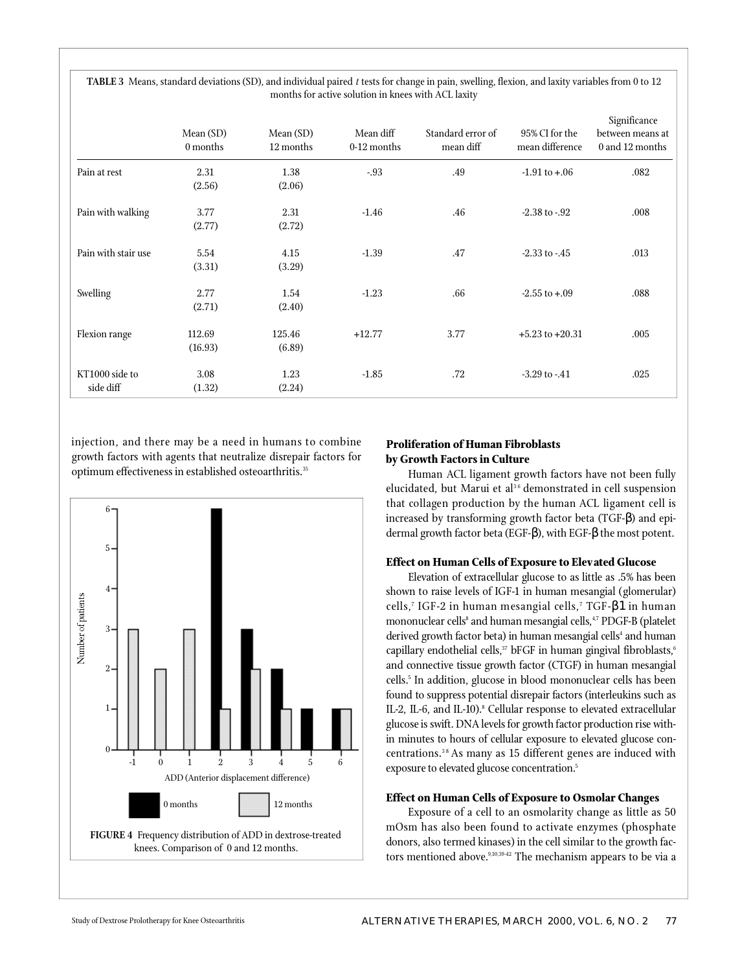|                             | Mean (SD)<br>0 months | Mean (SD)<br>12 months | Mean diff<br>0-12 months | Standard error of<br>mean diff | 95% CI for the<br>mean difference | Significance<br>between means at<br>$0$ and $12$ months |
|-----------------------------|-----------------------|------------------------|--------------------------|--------------------------------|-----------------------------------|---------------------------------------------------------|
| Pain at rest                | 2.31<br>(2.56)        | 1.38<br>(2.06)         | $-0.93$                  | .49                            | $-1.91$ to $+.06$                 | .082                                                    |
| Pain with walking           | 3.77<br>(2.77)        | 2.31<br>(2.72)         | $-1.46$                  | .46                            | $-2.38$ to $-92$                  | .008                                                    |
| Pain with stair use         | 5.54<br>(3.31)        | 4.15<br>(3.29)         | $-1.39$                  | .47                            | $-2.33$ to $-45$                  | .013                                                    |
| Swelling                    | 2.77<br>(2.71)        | 1.54<br>(2.40)         | $-1.23$                  | .66                            | $-2.55$ to $+.09$                 | .088                                                    |
| Flexion range               | 112.69<br>(16.93)     | 125.46<br>(6.89)       | $+12.77$                 | 3.77                           | $+5.23$ to $+20.31$               | .005                                                    |
| KT1000 side to<br>side diff | 3.08<br>(1.32)        | 1.23<br>(2.24)         | $-1.85$                  | .72                            | $-3.29$ to $-41$                  | .025                                                    |

**TABLE 3** Means, standard deviations (SD), and individual paired *t* tests for change in pain, swelling, flexion, and laxity variables from 0 to 12 months for active solution in knees with ACL laxity

injection, and there may be a need in humans to combine growth factors with agents that neutralize disrepair factors for optimum effectiveness in established osteoarthritis.<sup>35</sup>



# **Proliferation of Human Fibroblasts by Growth Factors in Culture**

Human ACL ligament growth factors have not been fully elucidated, but Marui et al<sup>36</sup> demonstrated in cell suspension that collagen production by the human ACL ligament cell is increased by transforming growth factor beta (TGF-) and epidermal growth factor beta (EGF- ), with EGF- the most potent.

## **Effect on Human Cells of Exposure to Elevated Glucose**

Elevation of extracellular glucose to as little as .5% has been shown to raise levels of IGF-1 in human mesangial (glomerular) cells,<sup>7</sup> IGF-2 in human mesangial cells,<sup>7</sup> TGF- 1in human mononuclear cells<sup>s</sup> and human mesangial cells,<sup>4,7</sup> PDGF-B (platelet derived growth factor beta) in human mesangial cells<sup>4</sup> and human capillary endothelial cells,<sup>37</sup> bFGF in human gingival fibroblasts,<sup>6</sup> and connective tissue growth factor (CTGF) in human mesangial cells.<sup>5</sup> In addition, glucose in blood mononuclear cells has been found to suppress potential disrepair factors (interleukins such as IL-2, IL-6, and IL-10).<sup>8</sup> Cellular response to elevated extracellular glucose is swift. DNA levels for growth factor production rise within minutes to hours of cellular exposure to elevated glucose concentrations.<sup>38</sup> As many as 15 different genes are induced with exposure to elevated glucose concentration.<sup>5</sup>

## **Effect on Human Cells of Exposure to Osmolar Changes**

Exposure of a cell to an osmolarity change as little as 50 mOsm has also been found to activate enzymes (phosphate donors, also termed kinases) in the cell similar to the growth factors mentioned above.<sup>9,10,39-42</sup> The mechanism appears to be via a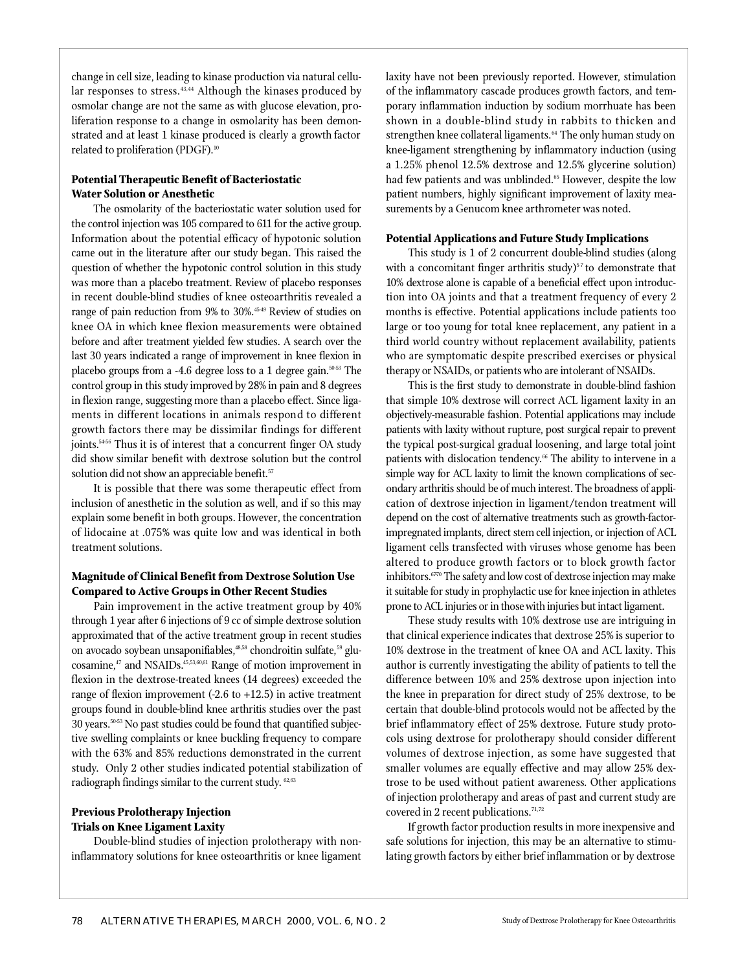change in cell size, leading to kinase production via natural cellular responses to stress.<sup>43,44</sup> Although the kinases produced by osmolar change are not the same as with glucose elevation, proliferation response to a change in osmolarity has been demonstrated and at least 1 kinase produced is clearly a growth factor related to proliferation (PDGF).<sup>10</sup>

# **Potential Therapeutic Benefit of Bacteriostatic Water Solution or Anesthetic**

The osmolarity of the bacteriostatic water solution used for the control injection was 105 compared to 611 for the active group. Information about the potential efficacy of hypotonic solution came out in the literature after our study began. This raised the question of whether the hypotonic control solution in this study was more than a placebo treatment. Review of placebo responses in recent double-blind studies of knee osteoarthritis revealed a range of pain reduction from 9% to 30%.<sup>45-49</sup> Review of studies on knee OA in which knee flexion measurements were obtained before and after treatment yielded few studies. A search over the last 30 years indicated a range of improvement in knee flexion in placebo groups from a -4.6 degree loss to a 1 degree gain. $50-53$  The control group in this study improved by 28% in pain and 8 degrees in flexion range, suggesting more than a placebo effect. Since ligaments in different locations in animals respond to different growth factors there may be dissimilar findings for different joints.<sup>5456</sup> Thus it is of interest that a concurrent finger OA study did show similar benefit with dextrose solution but the control solution did not show an appreciable benefit.<sup>57</sup>

It is possible that there was some therapeutic effect from inclusion of anesthetic in the solution as well, and if so this may explain some benefit in both groups. However, the concentration of lidocaine at .075% was quite low and was identical in both treatment solutions.

## **Magnitude of Clinical Benefit from Dextrose Solution Use Compared to Active Groups in Other Recent Studies**

Pain improvement in the active treatment group by 40% through 1 year after 6 injections of 9 cc of simple dextrose solution approximated that of the active treatment group in recent studies on avocado soybean unsaponifiables,<sup>48,58</sup> chondroitin sulfate,<sup>59</sup> glucosamine,<sup>47</sup> and NSAIDs.<sup>45,53,60,61</sup> Range of motion improvement in flexion in the dextrose-treated knees (14 degrees) exceeded the range of flexion improvement (-2.6 to  $+12.5$ ) in active treatment groups found in double-blind knee arthritis studies over the past 30 years.<sup>50-53</sup> No past studies could be found that quantified subjective swelling complaints or knee buckling frequency to compare with the 63% and 85% reductions demonstrated in the current study. Only 2 other studies indicated potential stabilization of radiograph findings similar to the current study. <sup>62,63</sup>

## **Previous Prolotherapy Injection Trials on Knee Ligament Laxity**

Double-blind studies of injection prolotherapy with noninflammatory solutions for knee osteoarthritis or knee ligament

laxity have not been previously reported. However, stimulation of the inflammatory cascade produces growth factors, and temporary inflammation induction by sodium morrhuate has been shown in a double-blind study in rabbits to thicken and strengthen knee collateral ligaments.<sup>64</sup> The only human study on knee-ligament strengthening by inflammatory induction (using a 1.25% phenol 12.5% dextrose and 12.5% glycerine solution) had few patients and was unblinded.<sup>65</sup> However, despite the low patient numbers, highly significant improvement of laxity measurements by a Genucom knee arthrometer was noted.

### **Potential Applications and Future Study Implications**

This study is 1 of 2 concurrent double-blind studies (along with a concomitant finger arthritis study) $57$  to demonstrate that 10% dextrose alone is capable of a beneficial effect upon introduction into OA joints and that a treatment frequency of every 2 months is effective. Potential applications include patients too large or too young for total knee replacement, any patient in a third world country without replacement availability, patients who are symptomatic despite prescribed exercises or physical therapy or NSAIDs, or patients who are intolerant of NSAIDs.

This is the first study to demonstrate in double-blind fashion that simple 10% dextrose will correct ACL ligament laxity in an objectively-measurable fashion. Potential applications may include patients with laxity without rupture, post surgical repair to prevent the typical post-surgical gradual loosening, and large total joint patients with dislocation tendency.<sup>66</sup> The ability to intervene in a simple way for ACL laxity to limit the known complications of secondary arthritis should be of much interest. The broadness of application of dextrose injection in ligament/tendon treatment will depend on the cost of alternative treatments such as growth-factorimpregnated implants, direct stem cell injection, or injection of ACL ligament cells transfected with viruses whose genome has been altered to produce growth factors or to block growth factor in hibitors. $6770$  The safety and low cost of dextrose injection may make it suitable for study in prophylactic use for knee injection in athletes prone to ACL injuries or in those with injuries but intact ligament.

These study results with 10% dextrose use are intriguing in that clinical experience indicates that dextrose 25% is superior to 10% dextrose in the treatment of knee OA and ACL laxity. This author is currently investigating the ability of patients to tell the difference between 10% and 25% dextrose upon injection into the knee in preparation for direct study of 25% dextrose, to be certain that double-blind protocols would not be affected by the brief inflammatory effect of 25% dextrose. Future study protocols using dextrose for prolotherapy should consider different volumes of dextrose injection, as some have suggested that smaller volumes are equally effective and may allow 25% dextrose to be used without patient awareness. Other applications of injection prolotherapy and areas of past and current study are covered in 2 recent publications. $71,72$ 

If growth factor production results in more inexpensive and safe solutions for injection, this may be an alternative to stimulating growth factors by either brief inflammation or by dextrose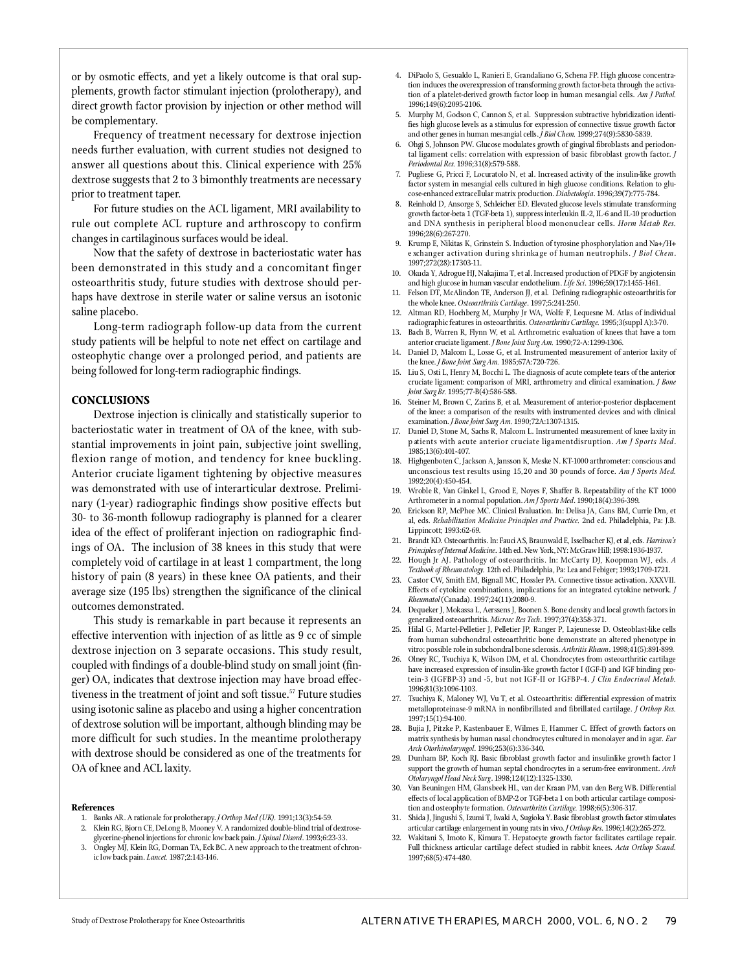or by osmotic effects, and yet a likely outcome is that oral supplements, growth factor stimulant injection (prolotherapy), and direct growth factor provision by injection or other method will be complementary.

Frequency of treatment necessary for dextrose injection needs further evaluation, with current studies not designed to answer all questions about this. Clinical experience with 25% dextrose suggests that 2 to 3 bimonthly treatments are necessary prior to treatment taper.

For future studies on the ACL ligament, MRI availability to rule out complete ACL rupture and arthroscopy to confirm changes in cartilaginous surfaces would be ideal.

Now that the safety of dextrose in bacteriostatic water has been demonstrated in this study and a concomitant finger osteoarthritis study, future studies with dextrose should perhaps have dextrose in sterile water or saline versus an isotonic saline placebo.

Long-term radiograph follow-up data from the current study patients will be helpful to note net effect on cartilage and osteophytic change over a prolonged period, and patients are being followed for long-term radiographic findings.

## **CONCLUSIONS**

Dextrose injection is clinically and statistically superior to b acteriostatic water in treatment of OA of the knee, with substantial improvements in joint pain, subjective joint swelling, flexion range of motion, and tendency for knee buckling. Anterior cruciate ligament tightening by objective measures was demonstrated with use of interarticular dextrose. Preliminary (1-year) radiographic findings show positive effects but 30- to 36-month followup radiography is planned for a clearer idea of the effect of proliferant injection on radiographic findings of OA. The inclusion of 38 knees in this study that were completely void of cartilage in at least 1 compartment, the long history of pain (8 years) in these knee OA patients, and their average size (195 lbs) strengthen the significance of the clinical outcomes demonstrated.

This study is remarkable in part because it represents an effective intervention with injection of as little as 9 cc of simple dextrose injection on 3 separate occasions. This study result, coupled with findings of a double-blind study on small joint (finger) OA, indicates that dextrose injection may have broad effectiveness in the treatment of joint and soft tissue.<sup>57</sup> Future studies using isotonic saline as placebo and using a higher concentration of dextrose solution will be important, although blinding may be more difficult for such studies. In the meantime prolotherapy with dextrose should be considered as one of the treatments for OA of knee and ACL laxity.

#### **References**

- 1. Banks AR. A rationale for prolotherapy. *J Orthop Med (UK)*. 1991;13(3):54-59. 2. Klein RG, Bjorn CE, DeLong B, Mooney V. A randomized double-blind trial of dextrose
- glycerine-phenol injections for chronic low back pain. *J Spinal Disord*. 1993;6:23-33. Ongley MJ, Klein RG, Dorman TA, Eck BC. A new approach to the treatment of chronic low back pain. *Lancet*. 1987;2:143-146.
- 4. DiPaolo S, Gesualdo L, Ranieri E, Grandaliano G, Schena FP. High glucose concentration induces the overexpression of transforming growth factor-beta through the activation of a platelet-derived growth factor loop in human mesangial cells. *Am J Pathol.* 1996;149(6):2095-2106.
- 5. Murphy M, Godson C, Cannon S, et al. Suppression subtractive hybridization identifies high glucose levels as a stimulus for expression of connective tissue growth factor and other genes in human mesangial cells.  $\hat{J}$  Biol Chem. 1999;274(9):5830-5839.
- 6. Ohgi S, Johnson PW. Glucose modulates growth of gingival fibroblasts and periodontal ligament cells: correlation with expression of basic fibroblast growth factor. *J* Periodontal Res. 1996;31(8):579-588.
- 7. Pugliese G, Pricci F, Locuratolo N, et al. Increased activity of the insulin-like growth factor system in mesangial cells cultured in high glucose conditions. Relation to glucose-enhanced extracellular matrix production. *Diabetologia*. 1996;39(7):775-784.
- 8. Reinhold D, Ansorge S, Schleicher ED. Elevated glucose levels stimulate transforming growth factor-beta 1 (TGF-beta 1), suppress interleukin IL-2, IL-6 and IL-10 production and DNA synthesis in peripheral blood mononuclear cells. *Horm Metab Res.* 1996;28(6):267-270.
- 9. Krump E, Nikitas K, Grinstein S. Induction of tyrosine phosphorylation and Na+/H+ e xchanger activation during s hri nka ge of human neutrophils. *J Biol Chem*. 1997:272(28):17303-11.
- 10. Okuda Y, Adrogue HJ, Nakajima T, et al. Increased production of PDGF by angiotensin and high glucose in human vascular endothelium. *Life Sci*. 1996;59(17):1455-1461.
- 11. Felson DT, McAlindon TE, Anderson JJ, et al. Defining radiographic osteoarthritis for the whole knee. Osteoarthritis Cartilage. 1997;5:241-250.
- 12. Altman RD, Hochberg M, Murphy Jr WA, Wolfe F, Lequesne M. Atlas of individual radiographic features in osteoarthritis. Osteoarthritis Cartilage. 1995;3(suppl A):3-70.
- 13. Bach B, Warren R, Flynn W, et al. Arthrometric evaluation of knees that have a torn anterior cruciate ligament. *J Bone Joint Surg Am.* 1990;72-A:1299-1306.
- 14. Daniel D, Malcom L, Losse G, et al. Instrumented measurement of anterior laxity of the knee. *J Bone Joint Surg Am.* 1985; 67A: 720-726.
- 15. Liu S, Osti L, Henry M, Bocchi L. The diagnosis of acute complete tears of the anterior cruciate ligament: comparison of MRI, arthrometry and clinical examination. *J Bone* Joint Surg Br. 1995;77-B(4):586-588.
- 16. Steiner M, Brown C, Zarins B, et al. Measurement of anterior-posterior displacement of the knee: a comparison of the results with instrumented devices and with clinical examination. *J Bone Joint Surg Am.* 1990;72A:1307-1315.
- 17. Daniel D, Stone M, Sachs R, Malcom L. Instrumented measurement of knee laxity in p atients with acute anterior cruciate ligamentdisruption. Am J Sports Med. 19 8 5 : 13 ( 6 ) : 40 1 - 40 7.
- 18. Highgenboten C, Jackson A, Jansson K, Meske N. KT-1000 arthrometer: conscious and unconscious test results using 15,20 and 30 pounds of force. *Am J Sports Med.* 1992;20(4):450-454.
- 19. Wroble R, Van Ginkel L, Grood E, Noyes F, Shaffer B. Repeatability of the KT 1000 Arthrometer in a normal population. *Am J Sports Med*. 1990;18(4):396-399.
- 20. Erickson RP, McPhee MC. Clinical Evaluation. In: Delisa JA, Gans BM, Currie Dm, et al, eds. *Rehabilitation Medicine Principles and Practice*. 2nd ed. Philadelphia, Pa: J.B. Lippincott; 1993:62-69.
- 21. Brandt KD. Osteoarthritis. In: Fauci AS, Braunwald E, Isselbacher KJ, et al, eds. *Harrison's* Principles of Internal Medicine. 14th ed. New York, NY: McGraw Hill; 1998:1936-1937.
- 22. Hough Jr AJ. Pathology of osteoarthritis. In: McCarty DJ, Koopman WJ, eds. *A* Textbook of Rheumatology. 12th ed. Philadelphia, Pa: Lea and Febiger; 1993;1709-1721.
- 23. Castor CW, Smith EM, Bignall MC, Hossler PA. Connective tissue activation. XXXVII. Effects of cytokine combinations, implications for an integrated cytokine network. *J Rheumatol* (Canada). 1997;24(11):2080-9.
- 24. Dequeker J, Mokassa L, Aerssens J, Boonen S. Bone density and local growth factors in generalized osteoarthritis. *Microsc Res Tech*. 1997;37(4):358-371.
- 25. Hilal G, Martel-Pelletier J, Pelletier JP, Ranger P, Lajeunesse D. Osteoblast-like cells from human subchondral osteoarthritic bone demonstrate an altered phenotype in vitro: possible role in subchondral bone sclerosis. Arthritis Rheum. 1998;41(5):891-899.
- 26. Olney RC, Tsuchiya K, Wilson DM, et al. Chondrocytes from osteoarthritic cartilage have increased expression of insulin-like growth factor I (IGF-I) and IGF binding protein-3 (IGFBP-3) and -5, but not IGF-II or IGFBP-4. *J Clin Endocrinol Metab*. 1996;81(3):1096-1103.
- 27. Tsuchiya K, Maloney WJ, Vu T, et al. Osteoarthritis: differential expression of matrix metalloproteinase-9 mRNA in nonfibrillated and fibrillated cartilage. *J Orthop Res.* 19 9 7 : 15 ( 1 ) : 9 4 - 10 0.
- 28. Bujia J, Pitzke P, Kastenbauer E, Wilmes E, Hammer C. Effect of growth factors on matrix synthesis by human nasal chondrocytes cultured in monolayer and in agar. *Eur Arch Otorhinolary n g o l*. 19 9 6 ; 2 5 3 ( 6 ) : 3 3 6 -3 4 0.
- 2 9. Dunham BP, Koch RJ. Basic fibroblast growth factor and insulinlike growth factor I support the growth of human septal chondrocytes in a serum-free environment. *Arch O t o l a ryngol Head Neck Surg*. 19 9 8 ; 1 2 4 ( 1 2 ) : 13 2 5 -13 3 0.
- 30. Van Beuningen HM, Glansbeek HL, van der Kraan PM, van den Berg WB. Differential effects of local application of BMP-2 or TGF-beta 1 on both articular cartilage composition and osteophyte formation. Osteoarthritis Cartilage. 1998;6(5):306-317.
- 31. Shida J, Jingushi S, Izumi T, Iwaki A, Sugioka Y. Basic fibroblast growth factor stimulates articular cartilage enlargement in young rats in vivo. *J Orthop Res*. 1996;14(2):265-272.
- 32. Wakitani S, Imoto K, Kimura T. Hepatocyte growth factor facilitates cartilage repair. Full thickness articular cartilage defect studied in rabbit knees. *Acta Orthop Scand.* 1997;68(5):474-480.